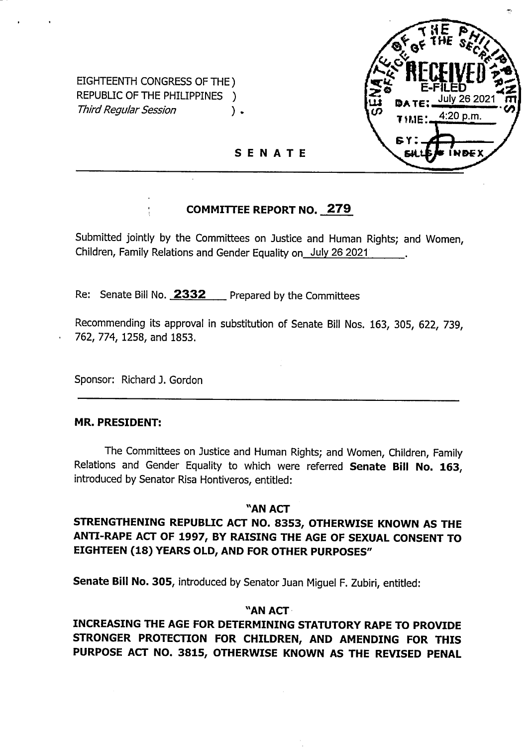

EIGHTEENTH CONGRESS OF THE) REPUBLIC OF THE PHILIPPINES ) *Third Regular Session* **)** .

**SENATE**

## **COMMITTEE REPORT NO. 279**

Submitted jointly by the Committees on Justice and Human Rights; and Women, Children, Family Relations and Gender Equality on July 26 2021

Re: Senate Bill No. **2332** Prepared by the Committees

Recommending its approval in substitution of Senate Bill Nos. 163, 305, 622, 739, 762, 774, 1258, and 1853.

Sponsor: Richard J. Gordon

#### **MR. PRESIDENT:**

The Committees on Justice and Human Rights; and Women, Children, Family Relations and Gender Equality to which were referred **Senate Bill No. 163,** introduced by Senator Risa Hontiveros, entitled:

## **"AN ACT**

## **STRENGTHENING REPUBLIC ACT NO. 8353, OTHERWISE KNOWN AS THE ANTI-RAPE ACT OF 1997, BY RAISING THE AGE OF SEXUAL CONSENT TO EIGHTEEN (18) YEARS OLD, AND FOR OTHER PURPOSES"**

**Senate Bill No. 305,** introduced by Senator Juan Miguel F. Zubiri, entitled:

## **"AN ACT**

**INCREASING THE AGE FOR DETERMINING STATUTORY RAPE TO PROVIDE STRONGER PROTECTION FOR CHILDREN, AND AMENDING FOR THIS PURPOSE ACT NO. 3815, OTHERWISE KNOWN AS THE REVISED PENAL**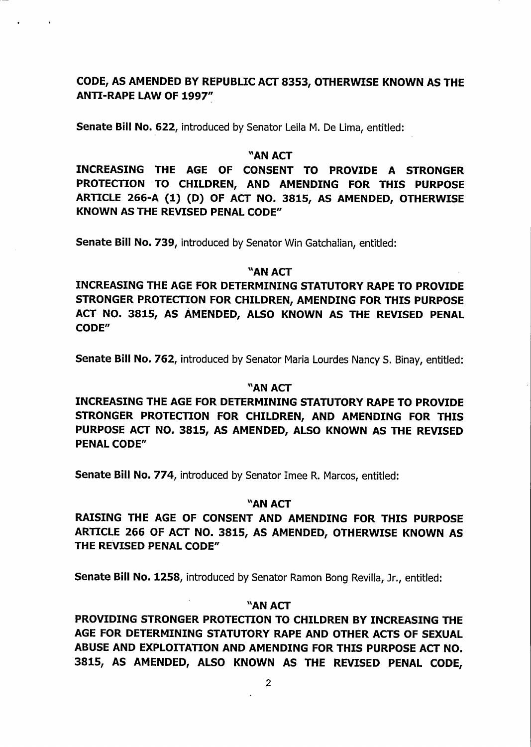## **CODE, AS AMENDED BY REPUBLIC ACT 8353, OTHERWISE KNOWN AS THE ANTI-RAPE LAW OF 1997"**

**Senate Bill No. 622,** introduced by Senator Leila M. De Lima, entitled:

#### **"AN ACT**

**INCREASING THE AGE OF CONSENT TO PROVIDE A STRONGER PROTECTION TO CHILDREN, AND AMENDING FOR THIS PURPOSE ARTICLE 266-A (1) (D) OF ACT NO. 3815, AS AMENDED, OTHERWISE KNOWN AS THE REVISED PENAL CODE"**

**Senate Bill No. 739,** introduced by Senator Win Gatchaiian, entitled:

## **"AN ACT**

**INCREASING THE AGE FOR DETERMINING STATUTORY RAPE TO PROVIDE STRONGER PROTECTION FOR CHILDREN, AMENDING FOR THIS PURPOSE ACT NO. 3815, AS AMENDED, ALSO KNOWN AS THE REVISED PENAL CODE"**

**Senate Bill No. 762,** introduced by Senator Maria Lourdes Nancy S. Binay, entitled:

#### **"AN ACT**

**INCREASING THE AGE FOR DETERMINING STATUTORY RAPE TO PROVIDE STRONGER PROTECTION FOR CHILDREN, AND AMENDING FOR THIS PURPOSE ACT NO. 3815, AS AMENDED, ALSO KNOWN AS THE REVISED PENAL CODE"**

**Senate Bill No. 774,** introduced by Senator Imee R. Marcos, entitled:

## **"AN ACT**

**RAISING THE AGE OF CONSENT AND AMENDING FOR THIS PURPOSE ARTICLE 266 OF ACT NO. 3815, AS AMENDED, OTHERWISE KNOWN AS THE REVISED PENAL CODE"**

**Senate Bill No. 1258,** introduced by Senator Ramon Bong Revilla, Jr., entitled:

## **"AN ACT**

**PROVIDING STRONGER PROTECTION TO CHILDREN BY INCREASING THE AGE FOR DETERMINING STATUTORY RAPE AND OTHER ACTS OF SEXUAL ABUSE AND EXPLOITATION AND AMENDING FOR THIS PURPOSE ACT NO. 3815, AS AMENDED, ALSO KNOWN AS THE REVISED PENAL CODE,**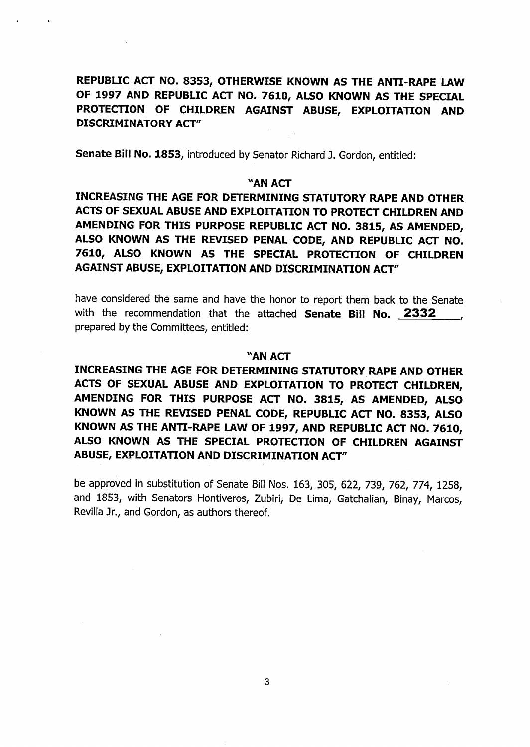**REPUBLIC ACT NO. 8353, OTHERWISE KNOWN AS THE ANTI-RAPE LAW OF 1997 AND REPUBLIC ACT NO. 7610, ALSO KNOWN AS THE SPECIAL PROTECTION OF CHILDREN AGAINST ABUSE, EXPLOITATION AND DISCRIMINATORY ACT"**

**Senate Bill No. 1853,** introduced by Senator Richard J. Gordon, entitled:

## **"AN ACT**

**INCREASING THE AGE FOR DETERMINING STATUTORY RAPE AND OTHER ACTS OF SEXUAL ABUSE AND EXPLOITATION TO PROTECT CHILDREN AND AMENDING FOR THIS PURPOSE REPUBLIC ACT NO. 3815, AS AMENDED, ALSO KNOWN AS THE REVISED PENAL CODE, AND REPUBLIC ACT NO. 7610, ALSO KNOWN AS THE SPECIAL PROTECTION OF CHILDREN AGAINST ABUSE, EXPLOITATION AND DISCRIMINATION ACT"**

have considered the same and have the honor to report them back to the Senate with the recommendation that the attached **Senate Bill No. 2332** prepared by the Committees, entitled:

#### **"AN ACT**

**INCREASING THE AGE FOR DETERMINING STATUTORY RAPE AND OTHER ACTS OF SEXUAL ABUSE AND EXPLOITATION TO PROTECT CHILDREN, AMENDING FOR THIS PURPOSE ACT NO. 3815, AS AMENDED, ALSO KNOWN AS THE REVISED PENAL CODE, REPUBLIC ACT NO. 8353, ALSO KNOWN AS THE ANTI-RAPE LAW OF 1997, AND REPUBLIC ACT NO. 7610, ALSO KNOWN AS THE SPECIAL PROTECTION OF CHILDREN AGAINST ABUSE, EXPLOITATION AND DISCRIMINATION ACT"**

be approved in substitution of Senate Bill Nos. 163, 305, 622, 739, 762, 774, 1258, and 1853, with Senators Hontiveros, Zubiri, De Lima, Gatchalian, Binay, Marcos, Revilla Jr., and Gordon, as authors thereof.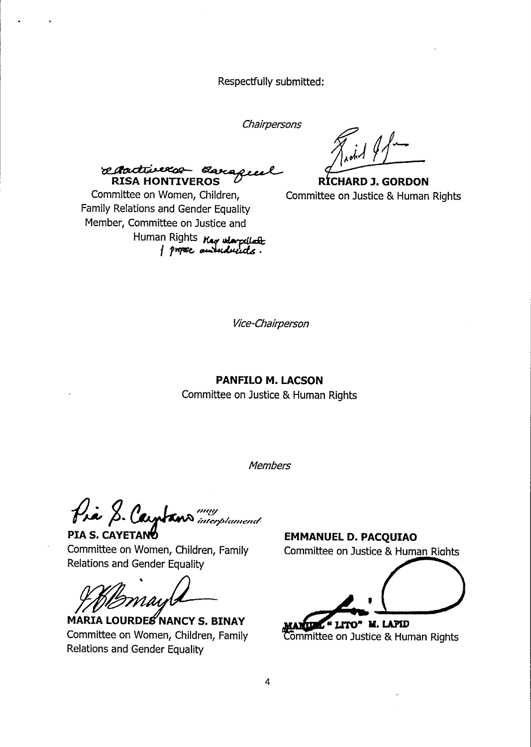Respectfully submitted:

Chairpersons

adadiverso a **RISA HONTIVEROS** 

RÍCHARD J. GORDON Committee on Justice & Human Rights

Committee on Women, Children, Family Relations and Gender Equality Member, Committee on Justice and Human Rights *Hag warplack*<br>} propose authorizedes.

Vice-Chairperson

#### PANFILO M. LACSON

Committee on Justice & Human Rights

**Members** 

Pia S. Cayptans

PIA S. CAYETAN Committee on Women, Children, Family Relations and Gender Equality

RDES NANCY S. BINAY Committee on Women, Children, Family **Relations and Gender Equality** 

**EMMANUEL D. PACQUIAO** Committee on Justice & Human Rights

M. LAPID

Committee on Justice & Human Rights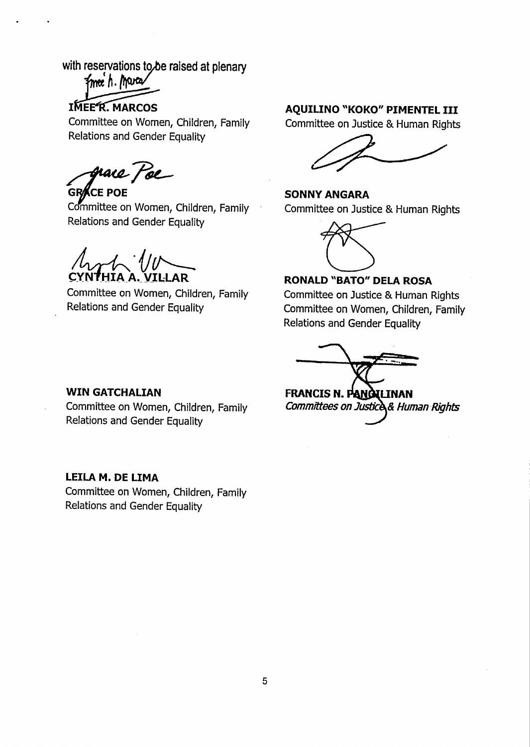# with reservations to be raised at plenary<br> $\frac{1}{2}$  fme h. March

**IMEER. MARCOS** 

Committee on Women, Children, Family Relations and Gender Equality

race *Fo*e

**GRACE** POE Committee on Women, Children, Family Relations and Gender Equality

**CYNTHIA A. VILLAR** 

Committee on Women, Children, Family Relations and Gender Equality

## **AQUILINO "KOKO" PIMENTEL III**

Committee on Justice & Human Rights

**SONNYANGARA** Committee on Justice & Human Rights



## **RONALD "BATO" DELA ROSA**

Committee on Justice & Human Rights Committee on Women, Children, Family Relations and Gender Equality

**FRANCIS N. I^H0HJNAN** *Committees on JusO^A Human Rights*

#### **WIN GATCHALIAN**

Committee on Women, Children, Family Relations and Gender Equality

## **LEILA M. DE LIMA**

Committee on Women, Children, Family Relations and Gender Equality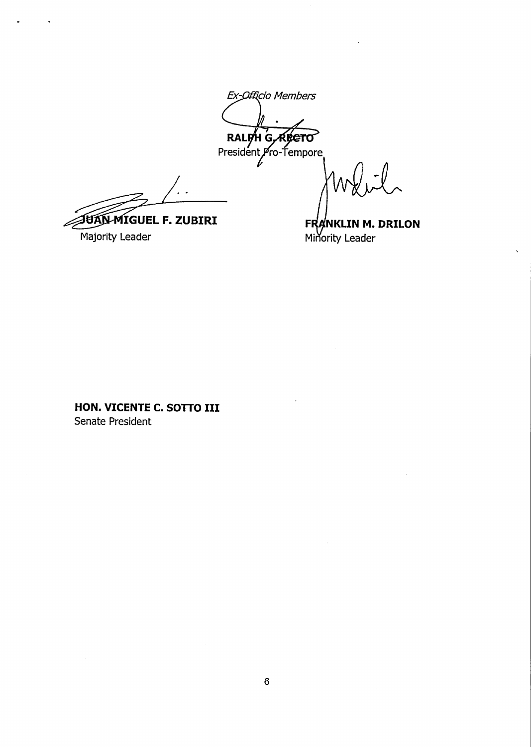Ex-Officio Members RALPH<sub>G</sub> RRETO President *Pro-*Tempore

JUAN MIGUEL F. ZUBIRI Majority Leader

FRANKLIN M. DRILON Minority Leader

HON. VICENTE C. SOTTO III Senate President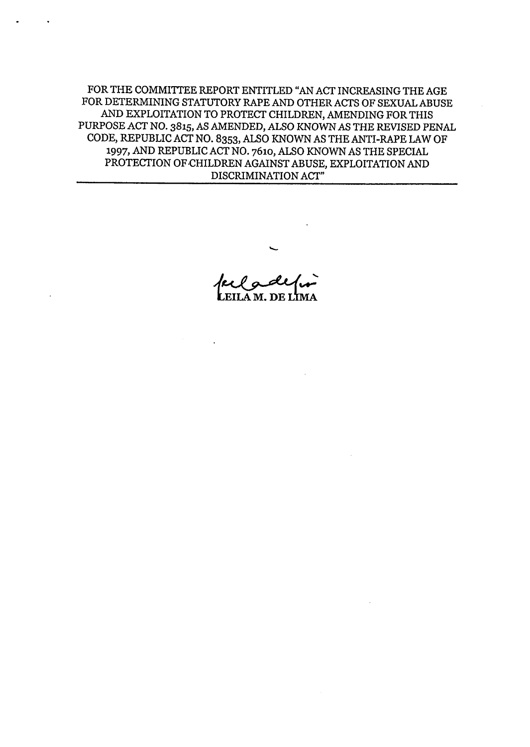FOR THE COMMITTEE REPORT ENTITLED "AN ACT INCREASING THE AGE FOR DETERMINING STATUTORY RAPE AND OTHER ACTS OF SEXUAL ABUSE AND EXPLOITATION TO PROTECT CHILDREN, AMENDING FORTHIS PURPOSE ACT NO. 3815, AS AMENDED, ALSO KNOWNAS THE REVISED PENAL CODE, REPUBLIC ACT NO. 8353, ALSO KNOWN AS THE ANTI-RAPE LAW OF 1997, AND REPUBLIC ACT NO. 7610, ALSO KNOWN AS THE SPECIAL PROTECTION OF CHILDREN AGAINST ABUSE, EXPLOITATION AND DISCRIMINATION ACT"

**LEILA M. DE LIMA**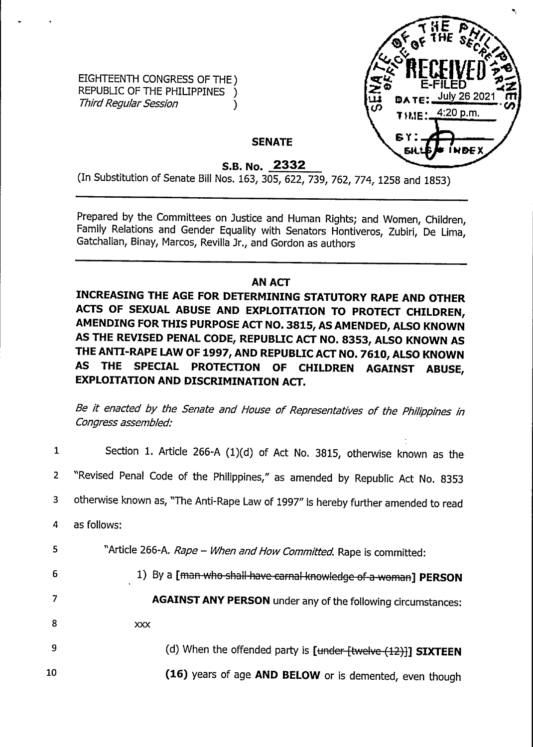EIGHTEENTH CONGRESS OF THE) REPUBLIC OF THE PHILIPPINES ) *Third Regular Session* **)** 



 $\frac{1}{2}$ 

## **SENATE**

**S.B. No. 2332**

(In Substitution of Senate Bill Nos. 163, 305, 622, 739, 762, 774, 1258 and 1853)

Prepared by the Committees on Justice and Human Rights; and Women, Children, Family Relations and Gender Equality with Senators Hontiveros, Zubiri, De Lima, Gatchalian, Binay, Marcos, Revilla Jr., and Gordon as authors

## **AN ACT**

**INCREASING THE AGE FOR DETERMINING STATUTORY RAPE AND OTHER ACTS OF SEXUAL ABUSE AND EXPLOITATION TO PROTECT CHILDREN, AMENDING FOR THIS PURPOSE ACT NO. 3815, AS AMENDED, ALSO KNOWN AS THE REVISED PENAL CODE, REPUBLIC ACT NO. 8353, ALSO KNOWN AS THE ANTI-RAPE LAW OF 1997, AND REPUBLIC ACT NO. 7610, ALSO KNOWN AS THE SPECIAL PROTECTION OF CHILDREN AGAINST ABUSE, EXPLOITATION AND DISCRIMINATION ACT.**

*Be it enacted by the Senate and House of Representatives of the Philippines in Congress assembled:*

| $\mathbf{1}$   | Section 1. Article 266-A (1)(d) of Act No. 3815, otherwise known as the           |
|----------------|-----------------------------------------------------------------------------------|
| $\overline{2}$ | "Revised Penal Code of the Philippines," as amended by Republic Act No. 8353      |
| 3              | otherwise known as, "The Anti-Rape Law of 1997" is hereby further amended to read |
| 4              | as follows:                                                                       |
| 5              | "Article 266-A. Rape - When and How Committed. Rape is committed:                 |
| 6              | 1) By a [man-who-shall-have-carnal-knowledge-of-a-woman] PERSON                   |
| 7              | <b>AGAINST ANY PERSON</b> under any of the following circumstances:               |
| 8              | XXX                                                                               |
| <b>9</b>       | (d) When the offended party is [under [twelve (12)]] SIXTEEN                      |
| 10             | (16) years of age AND BELOW or is demented, even though                           |